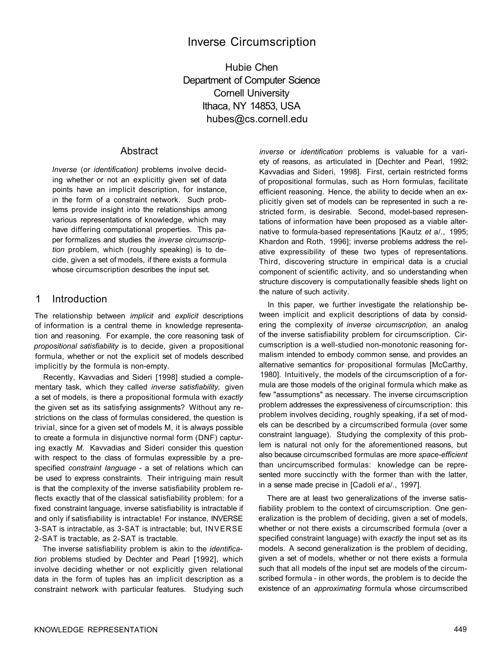# Inverse Circumscription

Hubie Chen Department of Computer Science Cornell University Ithaca, NY 14853, USA hubes@cs.cornell.edu

# **Abstract**

*Inverse* (or *identification)* problems involve deciding whether or not an explicitly given set of data points have an implicit description, for instance, in the form of a constraint network. Such problems provide insight into the relationships among various representations of knowledge, which may have differing computational properties. This paper formalizes and studies the *inverse circumscription* problem, which (roughly speaking) is to decide, given a set of models, if there exists a formula whose circumscription describes the input set.

## 1 Introduction

The relationship between *implicit* and *explicit* descriptions of information is a central theme in knowledge representation and reasoning. For example, the core reasoning task of *propositional satisfiability* is to decide, given a propositional formula, whether or not the explicit set of models described implicitly by the formula is non-empty.

Recently, Kavvadias and Sideri [1998] studied a complementary task, which they called *inverse satisfiability,* given a set of models, is there a propositional formula with *exactly*  the given set as its satisfying assignments? Without any restrictions on the class of formulas considered, the question is trivial, since for a given set of models M, it is always possible to create a formula in disjunctive normal form (DNF) capturing exactly *M.* Kavvadias and Sideri consider this question with respect to the class of formulas expressible by a prespecified *constraint language* - a set of relations which can be used to express constraints. Their intriguing main result is that the complexity of the inverse satisfiability problem reflects exactly that of the classical satisfiability problem: for a fixed constraint language, inverse satisfiability is intractable if and only if satisfiability is intractable! For instance, INVERSE 3-SAT is intractable, as 3-SAT is intractable; but, INVERSE 2-SAT is tractable, as 2-SAT is tractable.

The inverse satisfiability problem is akin to the *identification* problems studied by Dechter and Pearl [1992], which involve deciding whether or not explicitly given relational data in the form of tuples has an implicit description as a constraint network with particular features. Studying such

*inverse* or *identification* problems is valuable for a variety of reasons, as articulated in [Dechter and Pearl, 1992; Kavvadias and Sideri, 1998]. First, certain restricted forms of propositional formulas, such as Horn formulas, facilitate efficient reasoning. Hence, the ability to decide when an explicitly given set of models can be represented in such a restricted form, is desirable. Second, model-based representations of information have been proposed as a viable alternative to formula-based representations [Kautz *et* a/., 1995; Khardon and Roth, 1996]; inverse problems address the relative expressibility of these two types of representations. Third, discovering structure in empirical data is a crucial component of scientific activity, and so understanding when structure discovery is computationally feasible sheds light on the nature of such activity.

In this paper, we further investigate the relationship between implicit and explicit descriptions of data by considering the complexity of *inverse circumscription,* an analog of the inverse satisfiability problem for circumscription. Circumscription is a well-studied non-monotonic reasoning formalism intended to embody common sense, and provides an alternative semantics for propositional formulas [McCarthy, 1980]. Intuitively, the models of the circumscription of a formula are those models of the original formula which make as few "assumptions" as necessary. The inverse circumscription problem addresses the expressiveness of circumscription: this problem involves deciding, roughly speaking, if a set of models can be described by a circumscribed formula (over some constraint language). Studying the complexity of this problem is natural not only for the aforementioned reasons, but also because circumscribed formulas are more *space-efficient*  than uncircumscribed formulas: knowledge can be represented more succinctly with the former than with the latter, in a sense made precise in [Cadoli *et* a/., 1997].

There are at least two generalizations of the inverse satisfiability problem to the context of circumscription. One generalization is the problem of deciding, given a set of models, whether or not there exists a circumscribed formula (over a specified constraint language) with *exactly* the input set as its models. A second generalization is the problem of deciding, given a set of models, whether or not there exists a formula such that all models of the input set are models of the circumscribed formula - in other words, the problem is to decide the existence of an *approximating* formula whose circumscribed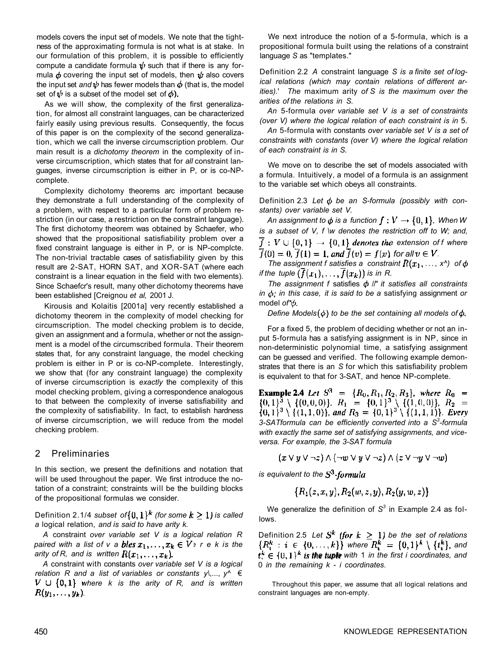models covers the input set of models. We note that the tightness of the approximating formula is not what is at stake. In our formulation of this problem, it is possible to efficiently compute a candidate formula  $\psi$  such that if there is any formula  $\phi$  covering the input set of models, then  $\psi$  also covers the input set *and*  $\psi$  has fewer models than  $\phi$  (that is, the model set of  $\psi$  is a subset of the model set of  $\phi$ ).

As we will show, the complexity of the first generalization, for almost all constraint languages, can be characterized fairly easily using previous results. Consequently, the focus of this paper is on the complexity of the second generalization, which we call the inverse circumscription problem. Our main result is a *dichotomy theorem* in the complexity of inverse circumscription, which states that for *all* constraint languages, inverse circumscription is either in P, or is co-NPcomplete.

Complexity dichotomy theorems arc important because they demonstrate a full understanding of the complexity of a problem, with respect to a particular form of problem restriction (in our case, a restriction on the constraint language). The first dichotomy theorem was obtained by Schaefer, who showed that the propositional satisfiability problem over a fixed constraint language is either in P, or is NP-complcte. The non-trivial tractable cases of satisfiability given by this result are 2-SAT, HORN SAT, and XOR-SAT (where each constraint is a linear equation in the field with two elements). Since Schaefcr's result, many other dichotomy theorems have been established [Creignou *et al,* 2001 J.

Kirousis and Kolaitis [2001a] very recently established a dichotomy theorem in the complexity of model checking for circumscription. The model checking problem is to decide, given an assignment and a formula, whether or not the assignment is a model of the circumscribed formula. Their theorem states that, for any constraint language, the model checking problem is either in P or is co-NP-complete. Interestingly, we show that (for any constraint language) the complexity of inverse circumscription is *exactly* the complexity of this model checking problem, giving a correspondence analogous to that between the complexity of inverse satisfiability and the complexity of satisfiability. In fact, to establish hardness of inverse circumscription, we will reduce from the model checking problem.

## 2 Preliminaries

In this section, we present the definitions and notation that will be used throughout the paper. We first introduce the notation of a constraint; constraints will be the building blocks of the propositional formulas we consider.

Definition 2.1/4 subset of  $\{0,1\}^k$  (for some  $k \ge 1$ ) is called *a* logical relation, *and is said to have arity k.* 

*A* constraint *over variable set V is a logical relation R paired with a list of v a bles*  $x_1, \ldots, x_k \in V$  *e k is the arity of R, and is written*  $R(x_1, \ldots, x_k)$ .

*A* constraint with constants *over variable set V is a logical relation R and a list of variables or constants y\*,..., *y^* €  $V \cup \{0,1\}$  where k is the arity of R, and is written  $R(y_1,\ldots,y_k)$ .

We next introduce the notion of a 5-formula, which is a propositional formula built using the relations of a constraint language *S* as "templates."

Definition 2.2 *A* constraint language *S is a finite set of logical relations (which may contain relations of different arities).*' *The* maximum arity *of S is the maximum over the arities of the relations in S.* 

*An* 5-formula *over variable set V is a set of constraints (over V) where the logical relation of each constraint is in* 5.

*An* 5-formula with constants *over variable set V is a set of constraints with constants (over V) where the logical relation of each constraint is in S.* 

We move on to describe the set of models associated with a formula. Intuitively, a model of a formula is an assignment to the variable set which obeys all constraints.

Definition 2.3 Let φ be an S-formula (possibly with con*stants) over variable set V.* 

*An assignment to*  $\phi$  *is a function*  $f: V \rightarrow \{0, 1\}$ *. When W is a subset of V, f \w denotes the restriction off to W; and,*   $f: V \cup \{0,1\} \rightarrow \{0,1\}$  denotes the extension of f where  $\overline{f}(0) = 0$ ,  $\overline{f}(1) = 1$ , and  $\overline{f}(v) = f(v)$ , for all  $v \in V$ .

*The assignment f satisfies a constraint*  $R(x_1, \ldots, x_n)$  of  $\phi$ *if the tuple*  $(\overline{f}(x_1), \ldots, \overline{f}(x_k))$  *is in R.* 

The assignment f satisfies  $\phi$  //" it satisfies all constraints *in*  $\phi$ *; in this case, it is said to be a satisfying assignment or* model of\* $\phi$ .

*Define Models* $(\phi)$  to be the set containing all models of  $\phi$ .

For a fixed 5, the problem of deciding whether or not an input 5-formula has a satisfying assignment is in NP, since in non-deterministic polynomial time, a satisfying assignment can be guessed and verified. The following example demonstrates that there is an *S* for which this satisfiability problem is equivalent to that for 3-SAT, and hence NP-complete.

**Example 2.4** Let  $S^3 = \{R_0, R_1, R_2, R_3\}$ , where  $R_0 =$  $\{0,1\}^3 \setminus \{(0,0,0)\}, R_1 = \{0,1\}^3 \setminus \{(1,0,0)\}, R_2 = \{0,1\}^3 \setminus \{(1,1,0)\},$  and  $R_3 = \{0,1\}^3 \setminus \{(1,1,1)\}.$  Every *3-SATformula can be efficiently converted into a S<sup>3</sup> -formula with exactly the same set of satisfying assignments, and viceversa. For example, the 3-SAT formula* 

$$
(x \vee y \vee \neg z) \wedge (\neg w \vee y \vee \neg z) \wedge (z \vee \neg y \vee \neg w)
$$

*is equivalent to the* 

$$
\{R_1(z,x,y), R_2(w,z,y), R_2(y,w,z)\}.
$$

We generalize the definition of S<sup>3</sup> in Example 2.4 as follows.

Definition 2.5 Let  $S^k$  (for  $k \geq 1$ ) be the set of relations  ${R_i^k : i \in \{0, ..., k\}}$  where  $R_i^k = {0,1}^k \setminus \{t_i^k\}$ , and  $t_i^k \in \{0,1\}^k$  is the tuple with 1 in the first i coordinates, and 0 *in the remaining k* - *i coordinates.* 

Throughout this paper, we assume that all logical relations and constraint languages are non-empty.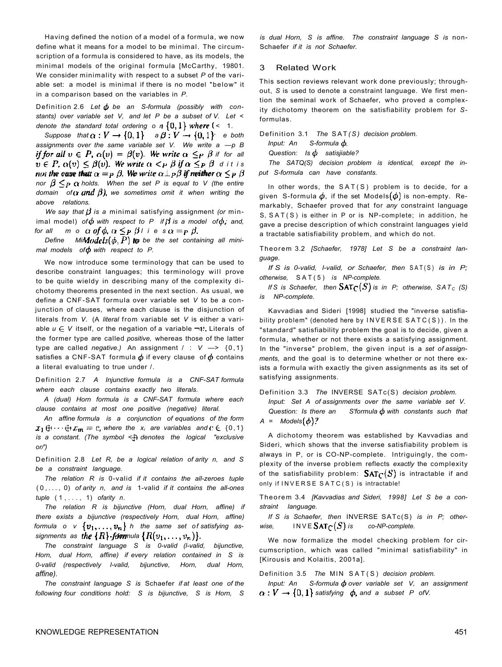Having defined the notion of a model of a formula, we now define what it means for a model to be minimal. The circumscription of a formula is considered to have, as its models, the minimal models of the original formula [McCarthy, 19801. We consider minimality with respect to a subset *P* of the variable set: a model is minimal if there is no model "below" it in a comparison based on the variables in *P.* 

Definition 2.6 Let  $\phi$  be an S-formula (possibly with con*stants) over variable set V, and let P be a subset of V. Let < denote the standard total ordering on*  $\{0, 1\}$  where  $\{-1, 1\}$ 

*Suppose that*  $\alpha: V \to \{0,1\}$  and  $\beta: V \to \{0,1\}$  and  $\alpha$  *e both assignments over the same variable set V. We write a —p B if for all*  $v \in P$ ,  $\alpha(v) = \beta(v)$ . We write  $\alpha \leq_P \beta$  if for all  $v \in P$ ,  $\alpha(v) \leq \beta(v)$ . We write  $\alpha \leq_P \beta$  if  $\alpha \leq_P \beta$  d it is *not the ease thatt*  $\alpha =_P \beta$ . We write  $\alpha \perp_P \beta$  if meither  $\alpha \leq_P \beta$ *nor*  $\beta \leq_P \alpha$  holds. When the set P is equal to V (the entire *domain* of (x *und*  $\beta$ *)*, we sometimes omit it when writing the *above relations.* 

*We say that*  $\beta$  *is a minimal satisfying assignment (or min*imal model) of  $\phi$  with respect to P if  $\beta$  is a model of  $\phi$ , and, *for all mode*  $\alpha$  *of*  $\phi$ *,*  $\alpha \leq_P \beta$  *i* ies $\alpha =_P \beta$ .

*Define Mimdodels* $(\phi, P)$  to be the set containing all mini*mal models of*  $\phi$  *with respect to P.* 

We now introduce some terminology that can be used to describe constraint languages; this terminology will prove to be quite wieldy in describing many of the complexity dichotomy theorems presented in the next section. As usual, we define a CNF-SAT formula over variable set *V* to be a conjunction of clauses, where each clause is the disjunction of literals from *V.* (A *literal* from variable set *V* is either a variable  $u \in V$  itself, or the negation of a variable  $\neg v$ . Literals of the former type are called *positive,* whereas those of the latter type are called *negative.)* An assignment / : *V* —> {0,1 } satisfies a CNF-SAT formula  $\phi$  if every clause of  $\phi$  contains a literal evaluating to true under /.

Definition 2.7 *A Injunctive formula is a CNF-SAT formula where each clause contains exactly two literals.* 

*A (dual) Horn formula is a CNF-SAT formula where each clause contains at most one positive (negative) literal.* 

*An affine formula is a conjunction of equations of the form where the*  $x_i$  *are variables and*  $C \in \{0,1\}$ *is a constant. (The symbol* < *denotes the logical "exclusive or/')* 

Definition 2.8 *Let R, be a logical relation of arity n, and S be a constraint language.* 

*The relation R is* 0-valid *if it contains the all-zeroes tuple*  (0,... , 0) *of arity n, and is* 1-valid *if it contains the all-ones tuple* (1,... , 1) *ofarity n.* 

*The relation R is bijunctive (Horn, dual Horn, affine) if there exists a bijunctive (respectively Horn, dual Horn, affine) formula o v*  $\{v_1, \ldots, v_n\}$  *h* the same set of satisfying as*signments as the*  $\{R\}$ -*formula*  $\{R(v_1, \ldots, v_n)\}.$ 

*The constraint language S is 0-valid (l-valid, bijunctive, Horn, dual Horn, affine) if every relation contained in S is 0-valid (respectively l-valid, bijunctive, Horn, dual Horn, affine).* 

*The constraint language S is* Schaefer *if at least one of the following four conditions hold: S is bijunctive, S is Horn, S*  *is dual Horn, S is affine. The constraint language S is* non-Schaefer *if it is not Schaefer.* 

#### 3 Related Work

This section reviews relevant work done previously; throughout, *S* is used to denote a constraint language. We first mention the seminal work of Schaefer, who proved a complexity dichotomy theorem on the satisfiability problem for *S*formulas.

Definition 3.1 *The* SAT *( S) decision problem.* 

*Input: An S-formula* 

*Question: Is satisjiable?* 

*The SATQ(S) decision problem is identical, except the input S-formula can have constants.* 

In other words, the  $SAT(S)$  problem is to decide, for a given S-formula  $\phi$ , if the set Models  $(\phi)$  is non-empty. Remarkably, Schaefer proved that for *any* constraint language S, SAT(S) is either in P or is NP-complete; in addition, he gave a precise description of which constraint languages yield a tractable satisfiability problem, and which do not.

Theorem 3.2 *[Schaefer, 1978] Let S be a constraint language.* 

*If S is 0-valid, I-valid, or Schaefer, then* SAT(S) *is in P*; *otherwise,* SAT(5 ) *is NP-complete.* 

*If* S is Schaefer, then  $\text{SAT}_{\mathbb{C}}(S)$  is in P; otherwise, SAT<sub>C</sub> (S) *is NP-complete.* 

Kavvadias and Sideri [1998] studied the "inverse satisfiability problem" (denoted here by  $INVERSE SATC(S)$ ). In the "standard" satisfiability problem the goal is to decide, given a formula, whether or not there exists a satisfying assignment. In the "inverse" problem, the given input is a *set of assignments,* and the goal is to determine whether or not there exists a formula with exactly the given assignments as its set of satisfying assignments.

Definition 3.3 *The* INVERSE SATc(S) *decision problem.* 

*Input: Set A of assignments over the same variable set V. Question: Is there an* S'formula  $\phi$  with constants such that  $A = Models(\phi)?$ 

A dichotomy theorem was established by Kavvadias and Sideri, which shows that the inverse satisfiability problem is always in P, or is CO-NP-complete. Intriguingly, the complexity of the inverse problem reflects *exactly* the complexity of the satisfiability problem:  $\text{SAT}_{\text{C}}(S)$  is intractable if and only if INVERSE SATC(S) is intractable!

Theorem 3.4 *[Kavvadias and Sideri, 1998] Let S be a constraint language.* 

*If S is Schaefer, then* INVERSE SATc(S) *is in P; otherwise,*  $INVE\,SAT_C(S)$  *is* co-NP-complete.

We now formalize the model checking problem for circumscription, which was called "minimal satisfiability" in [Kirousis and Kolaitis, 2001a].

Definition 3.5 The MIN SAT(S) decision problem.

*Input: An* S-formula  $\phi$  over variable set V, an assignment  $\alpha: V \to \{0,1\}$  satisfying  $\phi$ , and a subset P of V.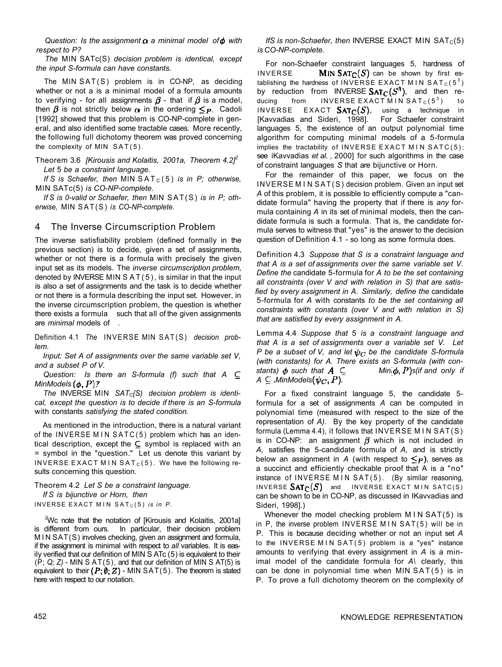*Question: Is the assignment a minimal model of with respect to P?* 

*The* MlN SATc(S) *decision problem is identical, except the input S-formula can have constants.* 

The MlN SAT(S) problem is in CO-NP, as deciding whether or not a is a minimal model of a formula amounts to verifying - for all assignments  $\beta$  - that if  $\beta$  is a model, then  $\beta$  is not strictly below  $\alpha$  in the ordering  $\leq_P$ . Cadoli [1992] showed that this problem is CO-NP-complete in general, and also identified some tractable cases. More recently, the following full dichotomy theorem was proved concerning the complexity of MIN SAT(5).

Theorem 3.6 *[Kirousis and Kolaitis, 2001a, Theorem 4.2]<sup>2</sup> Let* 5 *be a constraint language.* 

*If S is Schaefer, then* MIN SAT<sub>C</sub>(5) *is in P; otherwise,* MlN SATc(5) *is CO-NP-complete.* 

*If S is 0-valid or Schaefer, then* MlN SAT(S) *is in P; otherwise,* MlN SAT(S) *is CO-NP-complete.* 

#### 4 The Inverse Circumscription Problem

The inverse satisfiability problem (defined formally in the previous section) is to decide, given a set of assignments, whether or not there is a formula with precisely the given input set as its models. The *inverse circumscription problem,*  denoted by INVERSE MIN  $S AT(5)$ , is similar in that the input is also a set of assignments and the task is to decide whether or not there is a formula describing the input set. However, in the inverse circumscription problem, the question is whether there exists a formula such that all of the given assignments are *minimal* models of *.* 

Definition 4.1 *The* INVERSE MlN SAT(S) *decision problem.* 

*Input: Set A of assignments over the same variable set V, and a subset P of V.* 

*Question: Is there an S-formula (f) such that A*   $MinModels (\phi, P)?$ 

*The* INVERSE MlN *SATC{S) decision problem is identical, except the question is to decide if there is an S-formula*  with constants *satisfying the stated condition.* 

As mentioned in the introduction, there is a natural variant of the INVERSE MIN SATC $(5)$  problem which has an identical description, except the  $\subseteq$  symbol is replaced with an = symbol in the "question." Let us denote this variant by INVERSE EXACT MIN SAT<sub>c</sub>(5). We have the following results concerning this question.

Theorem 4.2 *Let S be a constraint language. If S is bijunctive or Horn, then*  INVERSE EXACT MIN  $SAT<sub>C</sub>(5)$  *is in P.* 

<sup>2</sup>Wc note that the notation of [Kirousis and Kolaitis, 2001a] is different from ours. In particular, their decision problem M I N SAT(S) involves checking, given an assignment and formula, if the assignment is minimal with respect to *all* variables. It is easily verified that our definition of MlN S ATc (5) is equivalent to their (P; *Q; Z)* - MlN S AT(5), and that our definition of MlN S AT(5) is equivalent to their  $(P; \emptyset; Z)$  - MIN SAT(5). The theorem is stated here with respect to our notation.

*IfS is non-Schaefer, then* INVERSE EXACT MIN  $SAT<sub>C</sub>(5)$ *is CO-NP-complete.* 

For non-Schaefer constraint languages 5, hardness of INVERSE **MIN SAT<sub>C</sub>(S)** can be shown by first establishing the hardness of INVERSE EXACT MIN SAT $_{\rm C}(5^3)$ by reduction from INVERSE  $SAT_C(S^3)$ , and then reducing from INVERSE EXACT MIN SAT<sub>C</sub>(5<sup>3</sup>) ) to INVERSE EXACT  $SAT_C(S)$ , using a technique in [Kavvadias and Sideri, 1998]. For Schaefer constraint languages 5, the existence of an output polynomial time algorithm for computing minimal models of a 5-formula implies the tractability of INVERSE EXACT MIN SATC $(5)$ ; see iKavvadias *et al. ,* 2000] for such algorithms in the case of constraint languages *S* that are bijunctive or Horn.

For the remainder of this paper, we focus on the INVERSE MI N SAT(S) decision problem. Given an input set *A* of this problem, it is possible to efficiently compute a "candidate formula" having the property that if there is *any* formula containing *A* in its set of minimal models, then the candidate formula is such a formula. That is, the candidate formula serves to witness that "yes" is the answer to the decision question of Definition 4.1 - so long as some formula does.

Definition 4.3 *Suppose that S is a constraint language and that A is a set of assignments over the same variable set V. Define the* candidate 5-formula for *A to be the set containing all constraints (over V and with relation in S) that are satisfied by every assignment in A. Similarly, define the* candidate 5-formula for *A* with constants *to be the set containing all constraints with constants (over V and with relation in S) that are satisfied by every assignment in A.* 

Lemma 4.4 *Suppose that* 5 *is a constraint language and that A is a set of assignments over a variable set V. Let P* be a subset of V, and let  $\psi_C$  be the candidate S-formula *(with constants) for A. There exists an S-formula (with constants*)  $\phi$  *such that*  $A \subseteq$  *Mini* $\phi$ *, P*)*s(if and only if*  $A \subseteq$  *MinModels* $(\psi_C, P)$ .

For a fixed constraint language 5, the candidate 5 formula for a set of assignments *A* can be computed in polynomial time (measured with respect to the size of the representation of *A).* By the key property of the candidate formula (Lemma 4.4), it follows that INVERSE MIN SAT(S) is in CO-NP: an assignment  $\beta$  which is not included in *A,* satisfies the 5-candidate formula of *A,* and is strictly below an assignment in A (with respect to  $\leq p$ ), serves as a succinct and efficiently checkable proof that A is a "no" instance of INVERSE MIN SAT(5). (By similar reasoning, INVERSE  $SAT_C(S)$  and INVERSE EXACT MIN SATC(S) can be shown to be in CO-NP, as discussed in IKavvadias and Sideri, 1998].)

Whenever the model checking problem MIN SAT(5) is in  $P$ , the inverse problem INVERSE MIN SAT $(5)$  will be in P. This is because deciding whether or not an input set *A*  to the INVERSE MIN SAT $(5)$  problem is a "yes" instance amounts to verifying that every assignment in *A* is a minimal model of the candidate formula for *A\* clearly, this can be done in polynomial time when  $MIN$   $SAT(5)$  is in P. To prove a full dichotomy theorem on the complexity of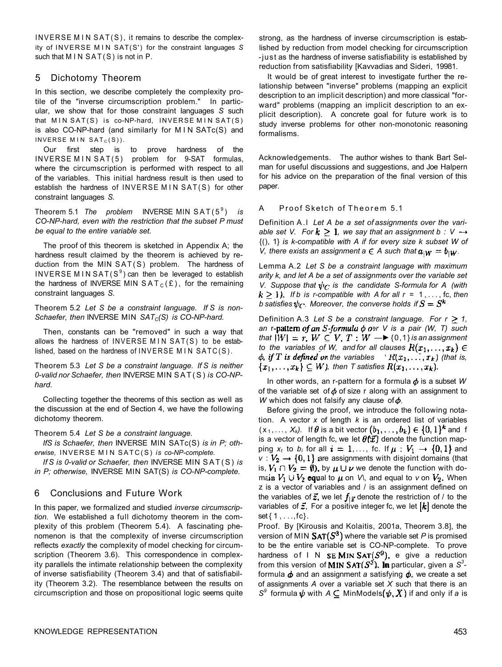INVERSE MIN SAT(S), it remains to describe the complexity of INVERSE MI N SAT(S') for the constraint languages *S*  such that  $MIN SAT(S)$  is not in P.

## 5 Dichotomy Theorem

In this section, we describe completely the complexity protile of the "inverse circumscription problem." In particular, we show that for those constraint languages *S* such that  $MIN SAT(S)$  is co-NP-hard, INVERSE MIN SAT(S) is also CO-NP-hard (and similarly for MIN SATc(S) and INVERSE MIN  $SAT<sub>C</sub>(S)$ ).

Our first step is to prove hardness of the INVERSE MIN SAT(5) problem for 9-SAT formulas, where the circumscription is performed with respect to all of the variables. This initial hardness result is then used to establish the hardness of INVERSE MIN SAT(S) for other constraint languages *S.* 

Theorem 5.1 *The problem* INVERSE MlN SAT(5 <sup>9</sup> ) *is CO-NP-hard, even with the restriction that the subset P must be equal to the entire variable set.* 

The proof of this theorem is sketched in Appendix A; the hardness result claimed by the theorem is achieved by reduction from the MlN SAT(S) problem. The hardness of INVERSE MINSAT(S<sup>9</sup>) can then be leveraged to establish the hardness of INVERSE MIN  $SAT_C(E)$ , for the remaining constraint languages *S.* 

Theorem 5.2 *Let S be a constraint language. If S is non-Schaefer, then* INVERSE MlN *SATC(S) is CO-NP-hard.* 

Then, constants can be "removed" in such a way that allows the hardness of INVERSE MIN  $SAT(S)$  to be established, based on the hardness of INVERSE MIN SATC $(S)$ .

Theorem 5.3 *Let S be a constraint language. If S is neither 0-valid nor Schaefer, then* INVERSE MlN SAT(S) *is CO-NPhard.* 

Collecting together the theorems of this section as well as the discussion at the end of Section 4, we have the following dichotomy theorem.

Theorem 5.4 *Let S be a constraint language.* 

*IfS is Schaefer, then* INVERSE MlN SATc(S) *is in P; otherwise,* INVERSE MI N SATC(S) *is co-NP-complete.* 

*If S is 0-valid or Schaefer, then* INVERSE MlN SAT(S) *is in P; otherwise,* INVERSE MlN SAT(S) *is CO-NP-complete.* 

# 6 Conclusions and Future Work

In this paper, we formalized and studied *inverse circumscription.* We established a full dichotomy theorem in the complexity of this problem (Theorem 5.4). A fascinating phenomenon is that the complexity of inverse circumscription reflects *exactly* the complexity of model checking for circumscription (Theorem 3.6). This correspondence in complexity parallels the intimate relationship between the complexity of inverse satisfiability (Theorem 3.4) and that of satisfiability (Theorem 3.2). The resemblance between the results on circumscription and those on propositional logic seems quite

strong, as the hardness of inverse circumscription is established by reduction from model checking for circumscription -just as the hardness of inverse satisfiability is established by reduction from satisfiability [Kavvadias and Sideri, 19981.

It would be of great interest to investigate further the relationship between "inverse" problems (mapping an explicit description to an implicit description) and more classical "forward" problems (mapping an implicit description to an explicit description). A concrete goal for future work is to study inverse problems for other non-monotonic reasoning formalisms.

Acknowledgements. The author wishes to thank Bart Selman for useful discussions and suggestions, and Joe Halpern for his advice on the preparation of the final version of this paper.

#### A Proof Sketch of Theorem 5.1

Definition A.1 Let A be a set of assignments over the vari*able set V. For*  $k \geq 1$ *, we say that an assignment b : V*  $\rightarrow$ {(), 1} *is k-compatible with A if for every size k subset W of V, there exists an assignment a*  $\in$  *A such that*  $a_{iW} = b_{iW}$ .

Lemma A.2 *Let S be a constraint language with maximum arity k, and let A be a set of assignments over the variable set V. Suppose that*  $\psi_C$  *is the candidate S-formula for A (with*  $k \geq 1$ , If b is r-compatible with A for all  $r = 1, \ldots,$  fc, then *b* satisfies  $\psi_C$ . Moreover, the converse holds if  $S = S^k$ 

Definition A.3 Let S be a constraint language. For  $r \geq 1$ , *an* r-pattern of an S-formula  $\phi$  or V is a pair (W, T) such *that*  $|W| = r$ ,  $W \subseteq V$ ,  $T : W \longrightarrow \{0,1\}$  *is an assignment to the variables of W, and for all clauses*  $R(x_1, \ldots, x_k) \in$ *if*  $T$  *is defined on the variables*  $R(x_1, \ldots, x_k)$  (that is,  $\{x_1, \ldots, x_k\} \subseteq W$ , then T satisfies  $R(x_1, \ldots, x_k)$ .

In other words, an r-pattern for a formula  $\phi$  is a subset W of the variable set of  $\phi$  of size r along with an assignment to *W* which does not falsify any clause of  $\phi$ .

Before giving the proof, we introduce the following notation. A vector *x* of length *k* is an ordered list of variables  $(x_1, \ldots, x_k)$ . If  $\theta$  is a bit vector  $(b_1, \ldots, b_k) \in \{0, 1\}^k$  and f is a vector of length fc, we let  $\theta$ **(** $\vec{x}$ **)** denote the function mapping  $x_t$  to  $b_i$  for all  $i = 1, \ldots$ , fc. If  $\mu : V_1 \rightarrow \{0, 1\}$  and  $v: V_2 \rightarrow \{0,1\}$  are assignments with disjoint domains (that is,  $V_1 \cap V_2 = \emptyset$ ), by  $\mu \cup \nu$  we denote the function with domain  $V_1 \cup V_2$  equal to  $\mu$  on  $V_1$ , and equal to *v* on  $V_2$ . When z is a vector of variables and / is an assignment defined on the variables of  $\vec{z}$ , we let  $f_{\vec{k}}$  denote the restriction of / to the variables of  $\vec{z}$ . For a positive integer fc, we let  $[k]$  denote the set {1,. . .,fc}.

Proof. By [Kirousis and Kolaitis, 2001a, Theorem 3.8], the version of MIN  $SAT(S^3)$  where the variable set P is promised to be the entire variable set is CO-NP-complete. To prove hardness of IN SEMIN SAT( $S^9$ ), e give a reduction from this version of **MIN SAT** $(S^3)$ **, In** particular, given a  $S^3$ formula  $\phi$  and an assignment a satisfying  $\phi$ <sub>n</sub>, we create a set of assignments *A* over a variable set *X* such that there is an *S*<sup>9</sup> formula  $\psi$  with  $A \subseteq$  MinModels  $(\psi, X)$  if and only if a is